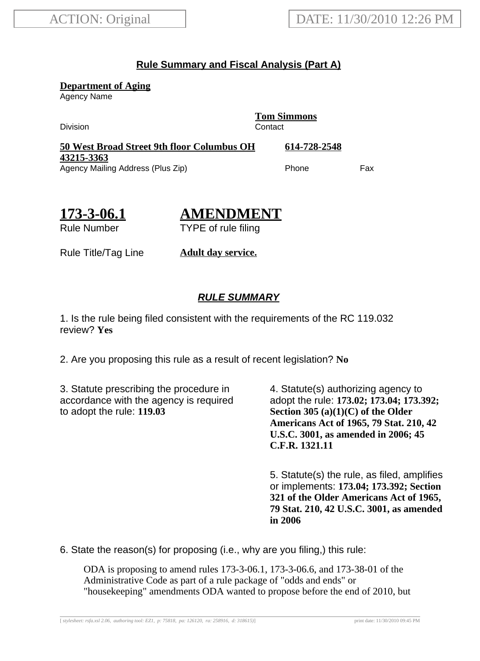# **Rule Summary and Fiscal Analysis (Part A)**

**Department of Aging**

Agency Name

Division **Contact** 

**Tom Simmons**

**50 West Broad Street 9th floor Columbus OH 43215-3363 614-728-2548** Agency Mailing Address (Plus Zip) entitled the Choice of Phone Fax

**173-3-06.1** Rule Number

**AMENDMENT** TYPE of rule filing

Rule Title/Tag Line **Adult day service.**

# **RULE SUMMARY**

1. Is the rule being filed consistent with the requirements of the RC 119.032 review? **Yes**

2. Are you proposing this rule as a result of recent legislation? **No**

3. Statute prescribing the procedure in accordance with the agency is required to adopt the rule: **119.03**

4. Statute(s) authorizing agency to adopt the rule: **173.02; 173.04; 173.392; Section 305 (a)(1)(C) of the Older Americans Act of 1965, 79 Stat. 210, 42 U.S.C. 3001, as amended in 2006; 45 C.F.R. 1321.11**

5. Statute(s) the rule, as filed, amplifies or implements: **173.04; 173.392; Section 321 of the Older Americans Act of 1965, 79 Stat. 210, 42 U.S.C. 3001, as amended in 2006**

6. State the reason(s) for proposing (i.e., why are you filing,) this rule:

ODA is proposing to amend rules 173-3-06.1, 173-3-06.6, and 173-38-01 of the Administrative Code as part of a rule package of "odds and ends" or "housekeeping" amendments ODA wanted to propose before the end of 2010, but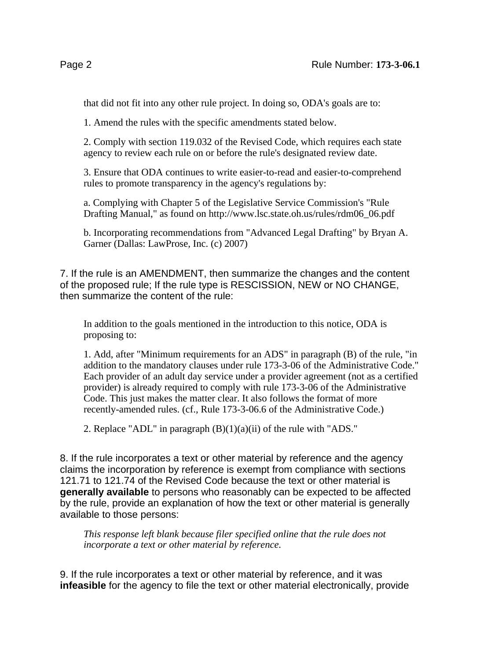that did not fit into any other rule project. In doing so, ODA's goals are to:

1. Amend the rules with the specific amendments stated below.

2. Comply with section 119.032 of the Revised Code, which requires each state agency to review each rule on or before the rule's designated review date.

3. Ensure that ODA continues to write easier-to-read and easier-to-comprehend rules to promote transparency in the agency's regulations by:

a. Complying with Chapter 5 of the Legislative Service Commission's "Rule Drafting Manual," as found on http://www.lsc.state.oh.us/rules/rdm06\_06.pdf

b. Incorporating recommendations from "Advanced Legal Drafting" by Bryan A. Garner (Dallas: LawProse, Inc. (c) 2007)

7. If the rule is an AMENDMENT, then summarize the changes and the content of the proposed rule; If the rule type is RESCISSION, NEW or NO CHANGE, then summarize the content of the rule:

In addition to the goals mentioned in the introduction to this notice, ODA is proposing to:

1. Add, after "Minimum requirements for an ADS" in paragraph (B) of the rule, "in addition to the mandatory clauses under rule 173-3-06 of the Administrative Code." Each provider of an adult day service under a provider agreement (not as a certified provider) is already required to comply with rule 173-3-06 of the Administrative Code. This just makes the matter clear. It also follows the format of more recently-amended rules. (cf., Rule 173-3-06.6 of the Administrative Code.)

2. Replace "ADL" in paragraph (B)(1)(a)(ii) of the rule with "ADS."

8. If the rule incorporates a text or other material by reference and the agency claims the incorporation by reference is exempt from compliance with sections 121.71 to 121.74 of the Revised Code because the text or other material is **generally available** to persons who reasonably can be expected to be affected by the rule, provide an explanation of how the text or other material is generally available to those persons:

*This response left blank because filer specified online that the rule does not incorporate a text or other material by reference.*

9. If the rule incorporates a text or other material by reference, and it was **infeasible** for the agency to file the text or other material electronically, provide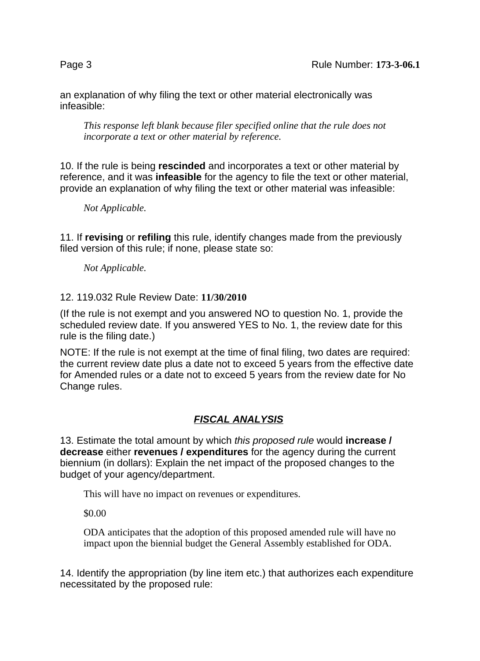an explanation of why filing the text or other material electronically was infeasible:

*This response left blank because filer specified online that the rule does not incorporate a text or other material by reference.*

10. If the rule is being **rescinded** and incorporates a text or other material by reference, and it was **infeasible** for the agency to file the text or other material, provide an explanation of why filing the text or other material was infeasible:

*Not Applicable.*

11. If **revising** or **refiling** this rule, identify changes made from the previously filed version of this rule; if none, please state so:

*Not Applicable.*

### 12. 119.032 Rule Review Date: **11/30/2010**

(If the rule is not exempt and you answered NO to question No. 1, provide the scheduled review date. If you answered YES to No. 1, the review date for this rule is the filing date.)

NOTE: If the rule is not exempt at the time of final filing, two dates are required: the current review date plus a date not to exceed 5 years from the effective date for Amended rules or a date not to exceed 5 years from the review date for No Change rules.

# **FISCAL ANALYSIS**

13. Estimate the total amount by which this proposed rule would **increase / decrease** either **revenues / expenditures** for the agency during the current biennium (in dollars): Explain the net impact of the proposed changes to the budget of your agency/department.

This will have no impact on revenues or expenditures.

\$0.00

ODA anticipates that the adoption of this proposed amended rule will have no impact upon the biennial budget the General Assembly established for ODA.

14. Identify the appropriation (by line item etc.) that authorizes each expenditure necessitated by the proposed rule: